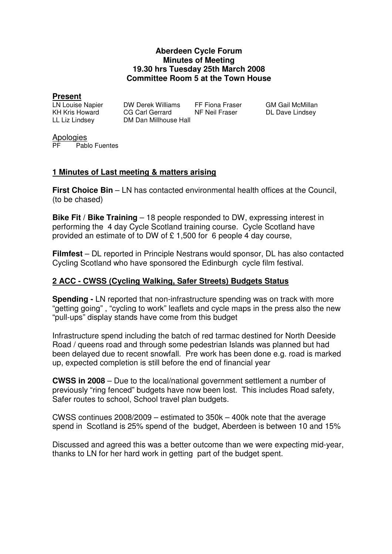#### **Aberdeen Cycle Forum Minutes of Meeting 19.30 hrs Tuesday 25th March 2008 Committee Room 5 at the Town House**

**Present**

DW Derek Williams FF Fiona Fraser GM Gail McMillan KH Kris Howard CG Carl Gerrard NF Neil Fraser BL Dave Lindsey LL Liz Lindsey DM Dan Millhouse Hall

Apologies<br>PE Pabl Pablo Fuentes

# **1 Minutes of Last meeting & matters arising**

**First Choice Bin** – LN has contacted environmental health offices at the Council, (to be chased)

**Bike Fit / Bike Training** – 18 people responded to DW, expressing interest in performing the 4 day Cycle Scotland training course. Cycle Scotland have provided an estimate of to DW of £ 1,500 for 6 people 4 day course,

**Filmfest** – DL reported in Principle Nestrans would sponsor, DL has also contacted Cycling Scotland who have sponsored the Edinburgh cycle film festival.

## **2 ACC - CWSS (Cycling Walking, Safer Streets) Budgets Status**

**Spending -** LN reported that non-infrastructure spending was on track with more "getting going" , "cycling to work" leaflets and cycle maps in the press also the new "pull-ups" display stands have come from this budget

Infrastructure spend including the batch of red tarmac destined for North Deeside Road / queens road and through some pedestrian Islands was planned but had been delayed due to recent snowfall. Pre work has been done e.g. road is marked up, expected completion is still before the end of financial year

**CWSS in 2008** – Due to the local/national government settlement a number of previously "ring fenced" budgets have now been lost. This includes Road safety, Safer routes to school, School travel plan budgets.

CWSS continues 2008/2009 – estimated to 350k – 400k note that the average spend in Scotland is 25% spend of the budget, Aberdeen is between 10 and 15%

Discussed and agreed this was a better outcome than we were expecting mid-year, thanks to LN for her hard work in getting part of the budget spent.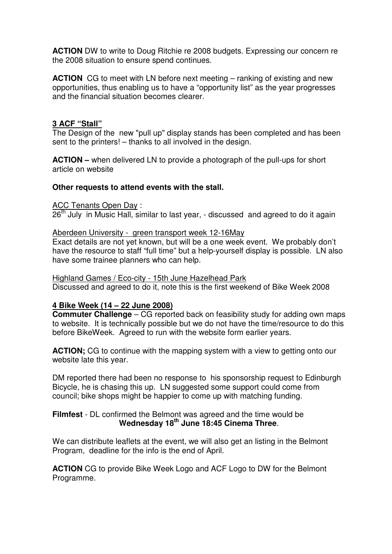**ACTION** DW to write to Doug Ritchie re 2008 budgets. Expressing our concern re the 2008 situation to ensure spend continues.

**ACTION** CG to meet with LN before next meeting – ranking of existing and new opportunities, thus enabling us to have a "opportunity list" as the year progresses and the financial situation becomes clearer.

## **3 ACF "Stall"**

The Design of the new "pull up" display stands has been completed and has been sent to the printers! – thanks to all involved in the design.

**ACTION –** when delivered LN to provide a photograph of the pull-ups for short article on website

## **Other requests to attend events with the stall.**

ACC Tenants Open Day :

 $26<sup>th</sup>$  July in Music Hall, similar to last year, - discussed and agreed to do it again

#### Aberdeen University - green transport week 12-16May

Exact details are not yet known, but will be a one week event. We probably don't have the resource to staff "full time" but a help-yourself display is possible. LN also have some trainee planners who can help.

#### Highland Games / Eco-city - 15th June Hazelhead Park

Discussed and agreed to do it, note this is the first weekend of Bike Week 2008

## **4 Bike Week (14 – 22 June 2008)**

**Commuter Challenge** – CG reported back on feasibility study for adding own maps to website. It is technically possible but we do not have the time/resource to do this before BikeWeek. Agreed to run with the website form earlier years.

**ACTION;** CG to continue with the mapping system with a view to getting onto our website late this year.

DM reported there had been no response to his sponsorship request to Edinburgh Bicycle, he is chasing this up. LN suggested some support could come from council; bike shops might be happier to come up with matching funding.

## **Filmfest** - DL confirmed the Belmont was agreed and the time would be **Wednesday 18th June 18:45 Cinema Three**.

We can distribute leaflets at the event, we will also get an listing in the Belmont Program, deadline for the info is the end of April.

**ACTION** CG to provide Bike Week Logo and ACF Logo to DW for the Belmont Programme.